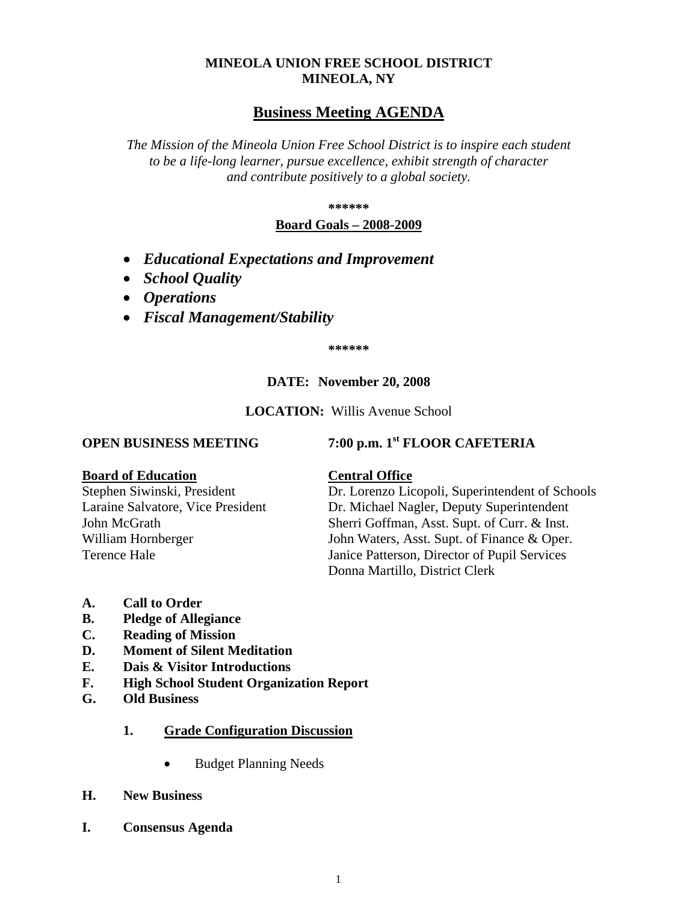### **MINEOLA UNION FREE SCHOOL DISTRICT MINEOLA, NY**

## **Business Meeting AGENDA**

*The Mission of the Mineola Union Free School District is to inspire each student to be a life-long learner, pursue excellence, exhibit strength of character and contribute positively to a global society.*

**\*\*\*\*\*\***

#### **Board Goals – 2008-2009**

- *Educational Expectations and Improvement*
- *School Quality*
- *Operations*
- *Fiscal Management/Stability*

**\*\*\*\*\*\***

#### **DATE: November 20, 2008**

**LOCATION:** Willis Avenue School

**OPEN BUSINESS MEETING 7:00 p.m. 1st FLOOR CAFETERIA**

#### **Board of Education Central Office**

Stephen Siwinski, President Dr. Lorenzo Licopoli, Superintendent of Schools<br>
Laraine Salvatore, Vice President Dr. Michael Nagler, Deputy Superintendent Dr. Michael Nagler, Deputy Superintendent John McGrath Sherri Goffman, Asst. Supt. of Curr. & Inst. William Hornberger John Waters, Asst. Supt. of Finance & Oper. Terence Hale Janice Patterson, Director of Pupil Services Donna Martillo, District Clerk

- **A. Call to Order**
- **B. Pledge of Allegiance**
- **C. Reading of Mission**
- **D. Moment of Silent Meditation**
- **E. Dais & Visitor Introductions**
- **F. High School Student Organization Report**
- **G. Old Business**
	- **1. Grade Configuration Discussion**
		- Budget Planning Needs
- **H. New Business**
- **I. Consensus Agenda**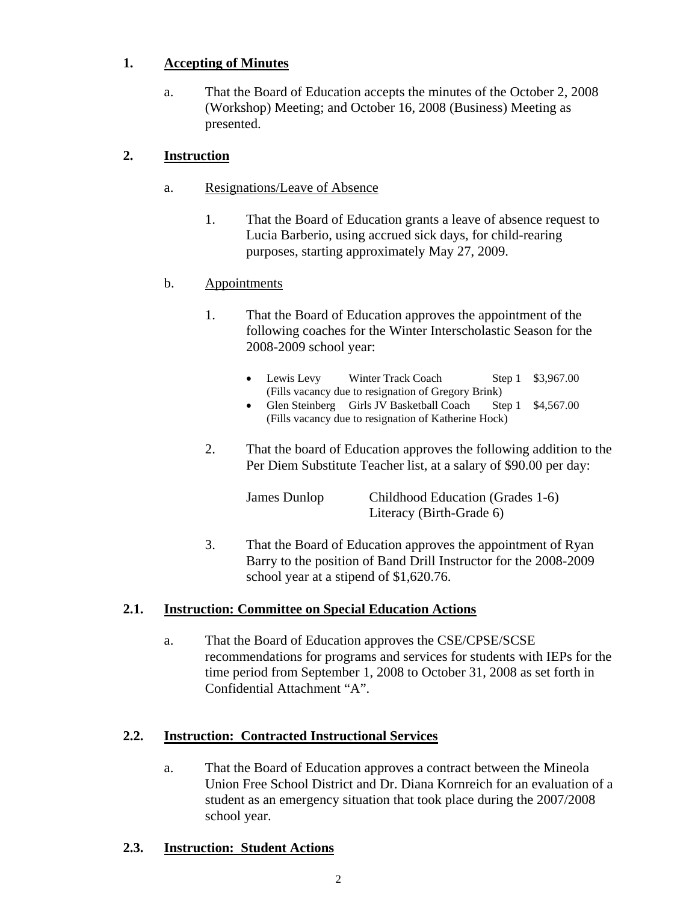## **1. Accepting of Minutes**

a. That the Board of Education accepts the minutes of the October 2, 2008 (Workshop) Meeting; and October 16, 2008 (Business) Meeting as presented.

## **2. Instruction**

- a. Resignations/Leave of Absence
	- 1. That the Board of Education grants a leave of absence request to Lucia Barberio, using accrued sick days, for child-rearing purposes, starting approximately May 27, 2009.

## b. Appointments

- 1. That the Board of Education approves the appointment of the following coaches for the Winter Interscholastic Season for the 2008-2009 school year:
	- Lewis Levy Winter Track Coach Step 1 \$3,967.00 (Fills vacancy due to resignation of Gregory Brink)
	- Glen Steinberg Girls JV Basketball Coach Step 1 \$4,567.00 (Fills vacancy due to resignation of Katherine Hock)
- 2. That the board of Education approves the following addition to the Per Diem Substitute Teacher list, at a salary of \$90.00 per day:

| James Dunlop | Childhood Education (Grades 1-6) |
|--------------|----------------------------------|
|              | Literacy (Birth-Grade 6)         |

3. That the Board of Education approves the appointment of Ryan Barry to the position of Band Drill Instructor for the 2008-2009 school year at a stipend of \$1,620.76.

## **2.1. Instruction: Committee on Special Education Actions**

a. That the Board of Education approves the CSE/CPSE/SCSE recommendations for programs and services for students with IEPs for the time period from September 1, 2008 to October 31, 2008 as set forth in Confidential Attachment "A".

## **2.2. Instruction: Contracted Instructional Services**

a. That the Board of Education approves a contract between the Mineola Union Free School District and Dr. Diana Kornreich for an evaluation of a student as an emergency situation that took place during the 2007/2008 school year.

## **2.3. Instruction: Student Actions**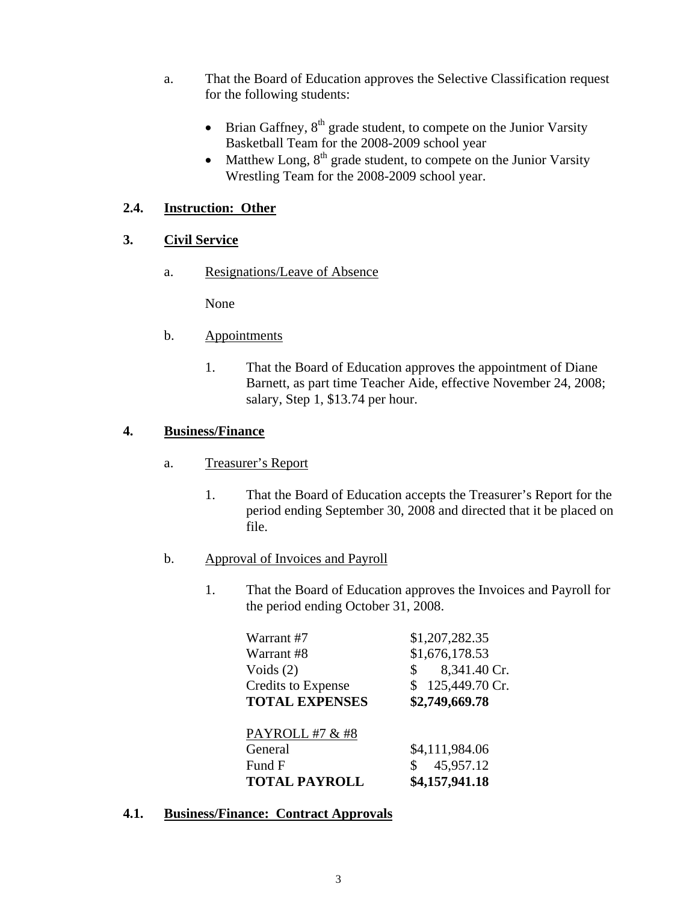- a. That the Board of Education approves the Selective Classification request for the following students:
	- Brian Gaffney,  $8<sup>th</sup>$  grade student, to compete on the Junior Varsity Basketball Team for the 2008-2009 school year
	- Matthew Long,  $8<sup>th</sup>$  grade student, to compete on the Junior Varsity Wrestling Team for the 2008-2009 school year.

## **2.4. Instruction: Other**

## **3. Civil Service**

a. Resignations/Leave of Absence

None

- b. Appointments
	- 1. That the Board of Education approves the appointment of Diane Barnett, as part time Teacher Aide, effective November 24, 2008; salary, Step 1, \$13.74 per hour.

## **4. Business/Finance**

- a. Treasurer's Report
	- 1. That the Board of Education accepts the Treasurer's Report for the period ending September 30, 2008 and directed that it be placed on file.
- b. Approval of Invoices and Payroll
	- 1. That the Board of Education approves the Invoices and Payroll for the period ending October 31, 2008.

| Warrant #7                | \$1,207,282.35                 |
|---------------------------|--------------------------------|
| Warrant #8                | \$1,676,178.53                 |
| Voids $(2)$               | 8,341.40 Cr.<br>$\mathbb{S}^-$ |
| <b>Credits to Expense</b> | \$125,449.70 Cr.               |
| <b>TOTAL EXPENSES</b>     | \$2,749,669.78                 |
|                           |                                |
| PAYROLL #7 & #8           |                                |
| General                   | \$4,111,984.06                 |
| Fund F                    | 45,957.12<br>\$                |
| <b>TOTAL PAYROLL</b>      | \$4,157,941.18                 |

**4.1. Business/Finance: Contract Approvals**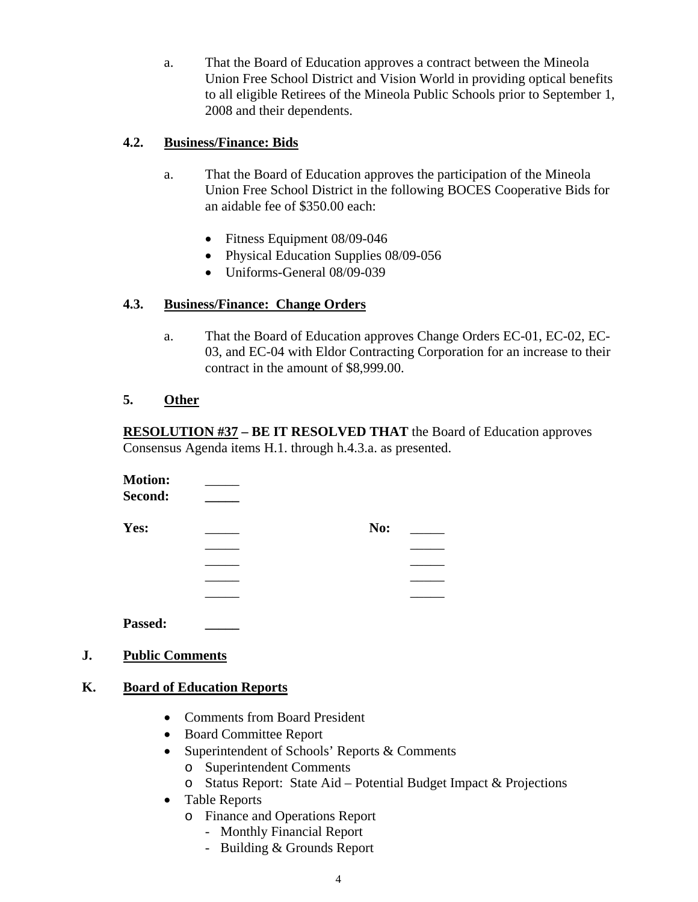a. That the Board of Education approves a contract between the Mineola Union Free School District and Vision World in providing optical benefits to all eligible Retirees of the Mineola Public Schools prior to September 1, 2008 and their dependents.

### **4.2. Business/Finance: Bids**

- a. That the Board of Education approves the participation of the Mineola Union Free School District in the following BOCES Cooperative Bids for an aidable fee of \$350.00 each:
	- Fitness Equipment 08/09-046
	- Physical Education Supplies 08/09-056
	- Uniforms-General 08/09-039

## **4.3. Business/Finance: Change Orders**

a. That the Board of Education approves Change Orders EC-01, EC-02, EC-03, and EC-04 with Eldor Contracting Corporation for an increase to their contract in the amount of \$8,999.00.

## **5. Other**

**RESOLUTION #37 – BE IT RESOLVED THAT** the Board of Education approves Consensus Agenda items H.1. through h.4.3.a. as presented.

| <b>Motion:</b> |     |  |
|----------------|-----|--|
| Second:        |     |  |
| Yes:           | No: |  |
|                |     |  |
|                |     |  |
|                |     |  |
|                |     |  |
|                |     |  |

**Passed: \_\_\_\_\_**

# **J. Public Comments**

## **K. Board of Education Reports**

- Comments from Board President
- Board Committee Report
- Superintendent of Schools' Reports & Comments
	- o Superintendent Comments
	- o Status Report: State Aid Potential Budget Impact & Projections
- Table Reports
	- o Finance and Operations Report
		- Monthly Financial Report
		- Building & Grounds Report